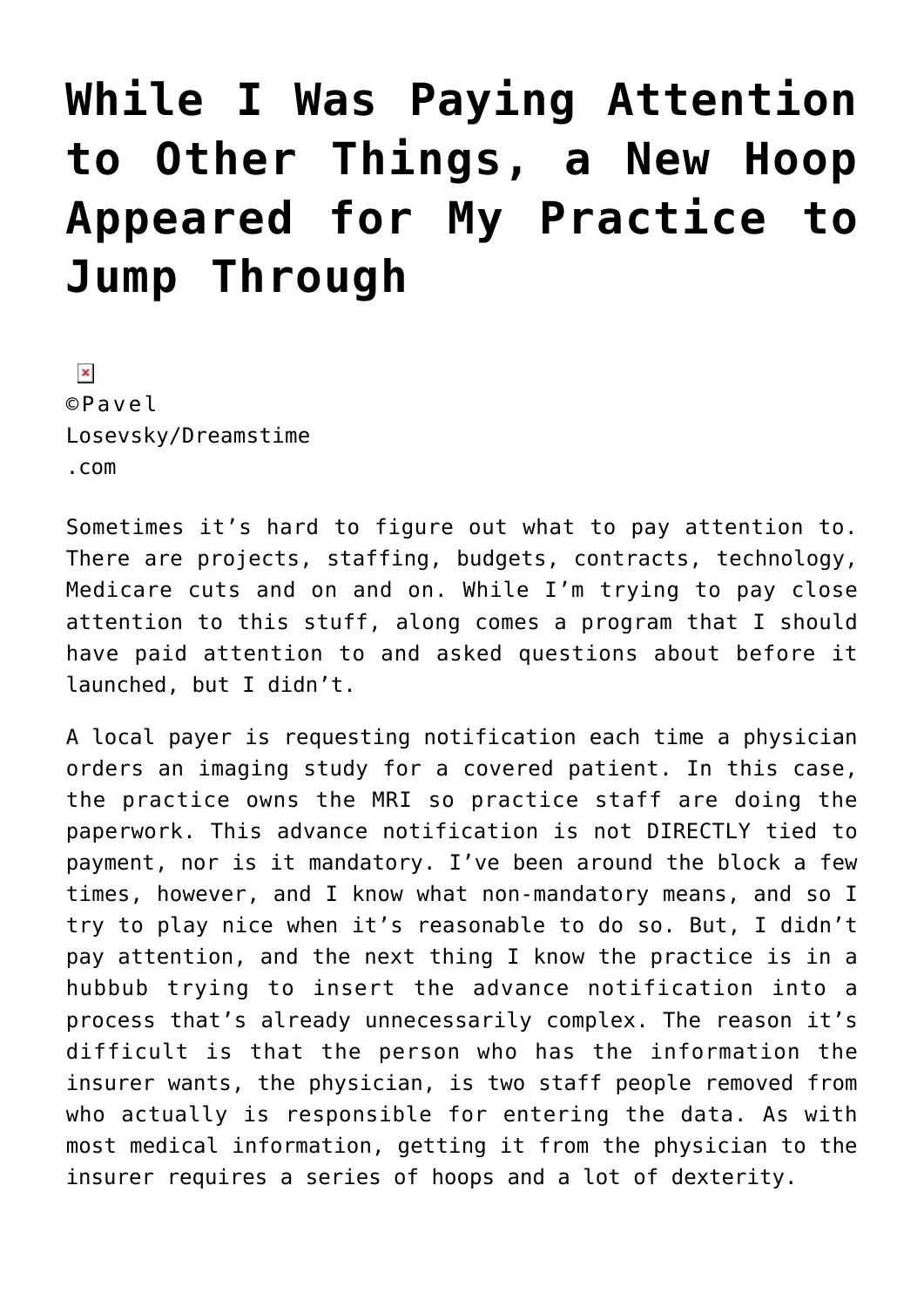## **[While I Was Paying Attention](https://managemypractice.com/while-i-was-paying-attention-to-other-things-a-new-hoop-appeared-for-my-practice-to-jump-through/) [to Other Things, a New Hoop](https://managemypractice.com/while-i-was-paying-attention-to-other-things-a-new-hoop-appeared-for-my-practice-to-jump-through/) [Appeared for My Practice to](https://managemypractice.com/while-i-was-paying-attention-to-other-things-a-new-hoop-appeared-for-my-practice-to-jump-through/) [Jump Through](https://managemypractice.com/while-i-was-paying-attention-to-other-things-a-new-hoop-appeared-for-my-practice-to-jump-through/)**

 $\pmb{\times}$ ©Pavel Losevsky/Dreamstime .com

Sometimes it's hard to figure out what to pay attention to. There are projects, staffing, budgets, contracts, technology, Medicare cuts and on and on. While I'm trying to pay close attention to this stuff, along comes a program that I should have paid attention to and asked questions about before it launched, but I didn't.

A local payer is requesting notification each time a physician orders an imaging study for a covered patient. In this case, the practice owns the MRI so practice staff are doing the paperwork. This advance notification is not DIRECTLY tied to payment, nor is it mandatory. I've been around the block a few times, however, and I know what non-mandatory means, and so I try to play nice when it's reasonable to do so. But, I didn't pay attention, and the next thing I know the practice is in a hubbub trying to insert the advance notification into a process that's already unnecessarily complex. The reason it's difficult is that the person who has the information the insurer wants, the physician, is two staff people removed from who actually is responsible for entering the data. As with most medical information, getting it from the physician to the insurer requires a series of hoops and a lot of dexterity.